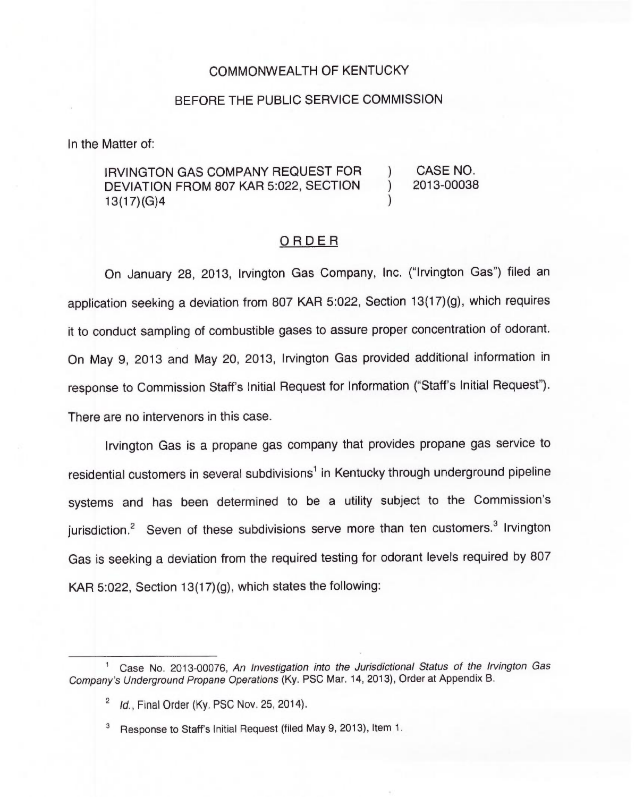## COMMONWEALTH OF KENTUCKY

## BEFORE THE PUBLIC SERVICE COMMISSION

In the Matter of:

## IRVINGTON GAS COMPANY REQUEST FOR DEVIATION FROM 807 KAR 5:022, SECTION 13(17)(G)4 ) CASE NO. ) 2013-00038 )

## ORDER

On January 28, 2013, Irvington Gas Company, Inc. ("Irvington Gas") filed an application seeking a deviation from 807 KAR 5:022, Section 13(17)(g), which requires it to conduct sampling of combustible gases to assure proper concentration of odorant. On May 9, 2013 and May 20, 2013, Irvington Gas provided additional information in response to Commission Staff's Initial Request for Information ("Staff's Initial Request"). There are no intervenors in this case.

Irvington Gas is a propane gas company that provides propane gas service to residential customers in several subdivisions<sup>1</sup> in Kentucky through underground pipeline systems and has been determined to be a utility subject to the Commission's jurisdiction.<sup>2</sup> Seven of these subdivisions serve more than ten customers.<sup>3</sup> Irvington Gas is seeking a deviation from the required testing for odorant levels required by 807 KAR 5:022, Section 13(17)(g), which states the following:

Case No. 2013-00076, An Investigation into the Jurisdictional Status of the Irvington Gas Company's Underground Propane Operations (Ky. PSC Mar. 14, 2013), Order at Appendix B.

 $I<sup>2</sup>$  Id., Final Order (Ky. PSC Nov. 25, 2014).

<sup>&</sup>lt;sup>3</sup> Response to Staff's Initial Request (filed May 9, 2013), Item 1.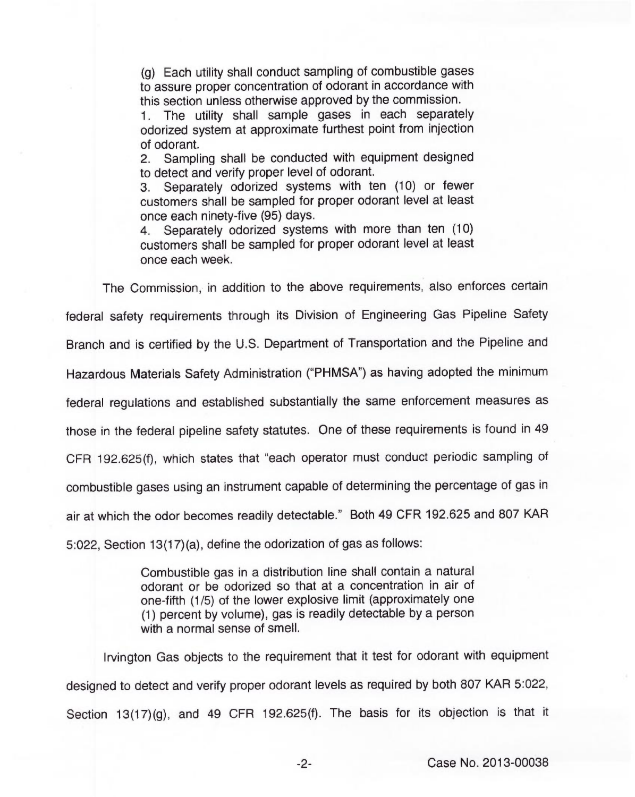(g) Each utility shall conduct sampling of combustible gases to assure proper concentration of odorant in accordance with this section unless otherwise approved by the commission.

1. The utility shall sample gases in each separately odorized system at approximate furthest point from injection of odorant.

2. Sampling shall be conducted with equipment designed to detect and verify proper level of odorant.

3. Separately odorized systems with ten (10) or fewer customers shall be sampled for proper odorant level at least once each ninety-five (95) days.

4. Separately odorized systems with more than ten (10) customers shall be sampled for proper odorant level at least once each week.

The Commission, in addition to the above requirements, also enforces certain federal safety requirements through its Division of Engineering Gas Pipeline Safety Branch and is certified by the U.S. Department of Transportation and the Pipeline and Hazardous Materials Safety Administration ("PHMSA") as having adopted the minimum federal regulations and established substantially the same enforcement measures as those in the federal pipeline safety statutes. One of these requirements is found in 49 CFR 192.625(f), which states that "each operator must conduct periodic sampling of combustible gases using an instrument capable of determining the percentage of gas in air at which the odor becomes readily detectable." Both 49 CFR 192.625 and 807 KAR 5:022, Section 13(17)(a), define the odorization of gas as follows:

> Combustible gas in a distribution line shall contain a natural odorant or be odorized so that at a concentration in air of one-fifth (1/5) of the lower explosive limit (approximately one (1) percent by volume), gas is readily detectable by a person with a normal sense of smell.

Irvington Gas objects to the requirement that it test for odorant with equipment designed to detect and verify proper odorant levels as required by both 807 KAR 5:022, Section 13(17)(g), and 49 CFR 192.625(f). The basis for its objection is that it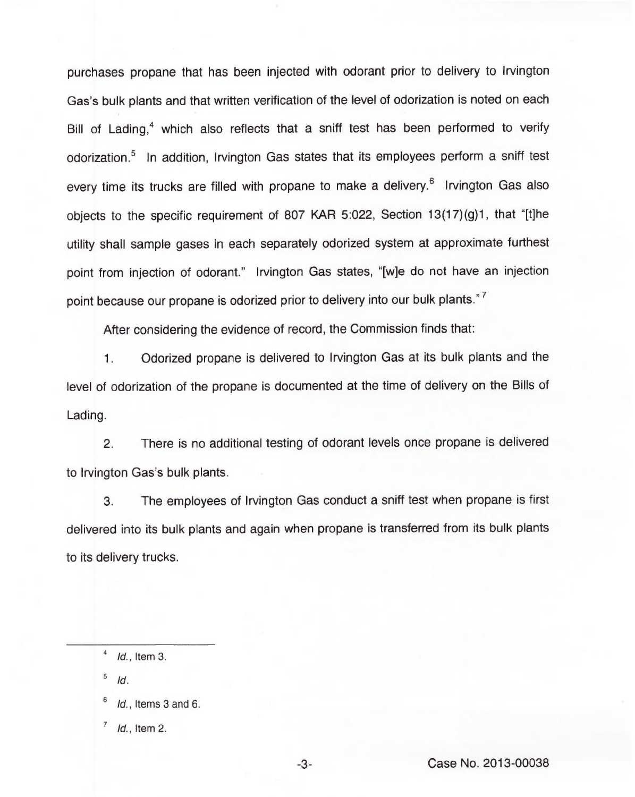purchases propane that has been injected with odorant prior to delivery to Irvington Gas's bulk plants and that written verification of the level of odorization is noted on each Bill of Lading,<sup>4</sup> which also reflects that a sniff test has been performed to verify odorization.<sup>5</sup> In addition, Irvington Gas states that its employees perform a sniff test every time its trucks are filled with propane to make a delivery.<sup>6</sup> Irvington Gas also objects to the specific requirement of 807 KAR 5:022, Section 13(17)(g)1, that "[t]he utility shall sample gases in each separately odorized system at approximate furthest point from injection of odorant." Irvington Gas states, "[w]e do not have an injection point because our propane is odorized prior to delivery into our bulk plants."<sup>7</sup>

After considering the evidence of record, the Commission finds that:

 $1.$ Odorized propane is delivered to Irvington Gas at its bulk plants and the level of odorization of the propane is documented at the time of delivery on the Bills of Lading.

2. There is no additional testing of odorant levels once propane is delivered to Irvington Gas's bulk plants.

3. The employees of Irvington Gas conduct a sniff test when propane is first delivered into its bulk plants and again when propane is transferred from its bulk plants to its delivery trucks.

5 Id.

- Id., Items 3 and 6.
- $\overline{7}$ Id., Item 2.

 $1d.$ , Item 3.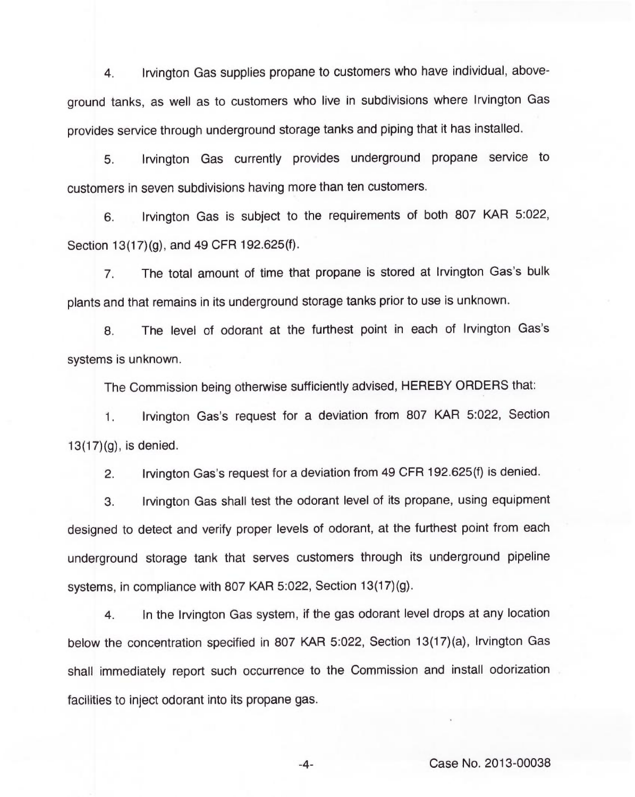4. Irvington Gas supplies propane to customers who have individual, aboveground tanks, as well as to customers who live in subdivisions where Irvington Gas provides service through underground storage tanks and piping that it has installed.

5. Irvington Gas currently provides underground propane service to customers in seven subdivisions having more than ten customers.

6. Irvington Gas is subject to the requirements of both 807 KAR 5:022, Section 13(17)(g), and 49 CFR 192.625(f).

7. The total amount of time that propane is stored at Irvington Gas's bulk plants and that remains in its underground storage tanks prior to use is unknown.

8. The level of odorant at the furthest point in each of Irvington Gas's systems is unknown.

The Commission being otherwise sufficiently advised, HEREBY ORDERS that:

1. Irvington Gas's request for a deviation from 807 KAR 5:022, Section 13(17)(g), is denied.

2. Irvington Gas's request for a deviation from 49 CFR 192.625(f) is denied.

3. Irvington Gas shall test the odorant level of its propane, using equipment designed to detect and verify proper levels of odorant, at the furthest point from each underground storage tank that serves customers through its underground pipeline systems, in compliance with 807 KAR 5:022, Section 13(17)(g).

4. In the Irvington Gas system, if the gas odorant level drops at any location below the concentration specified in 807 KAR 5:022, Section 13(17)(a), Irvington Gas shall immediately report such occurrence to the Commission and install odorization facilities to inject odorant into its propane gas.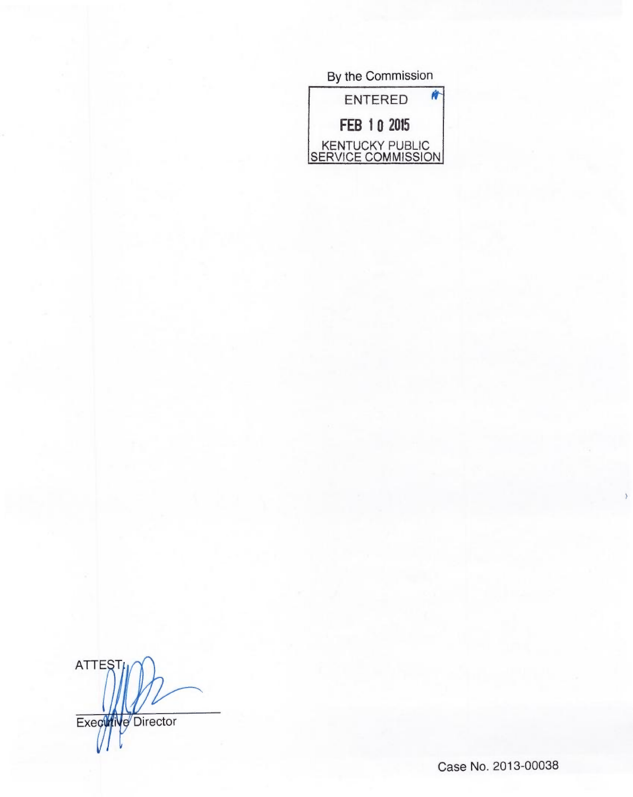| By the Commission                     |
|---------------------------------------|
| <b>ENTERED</b>                        |
| FEB 10 2015                           |
| KENTUCKY PUBLIC<br>SERVICE COMMISSION |

ATTEST Executive Director

Case No. 2013-00038